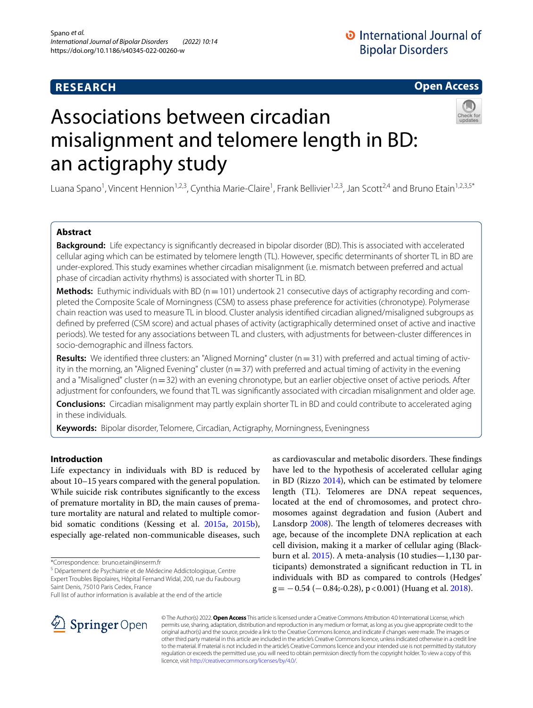# **RESEARCH**

# **Open Access**

# Associations between circadian misalignment and telomere length in BD: an actigraphy study



## **Abstract**

**Background:** Life expectancy is signifcantly decreased in bipolar disorder (BD). This is associated with accelerated cellular aging which can be estimated by telomere length (TL). However, specifc determinants of shorter TL in BD are under-explored. This study examines whether circadian misalignment (i.e. mismatch between preferred and actual phase of circadian activity rhythms) is associated with shorter TL in BD.

**Methods:** Euthymic individuals with BD (n = 101) undertook 21 consecutive days of actigraphy recording and completed the Composite Scale of Morningness (CSM) to assess phase preference for activities (chronotype). Polymerase chain reaction was used to measure TL in blood. Cluster analysis identifed circadian aligned/misaligned subgroups as defned by preferred (CSM score) and actual phases of activity (actigraphically determined onset of active and inactive periods). We tested for any associations between TL and clusters, with adjustments for between-cluster diferences in socio-demographic and illness factors.

**Results:** We identified three clusters: an "Aligned Morning" cluster ( $n=31$ ) with preferred and actual timing of activity in the morning, an "Aligned Evening" cluster ( $n=37$ ) with preferred and actual timing of activity in the evening and a "Misaligned" cluster (n=32) with an evening chronotype, but an earlier objective onset of active periods. After adjustment for confounders, we found that TL was signifcantly associated with circadian misalignment and older age.

**Conclusions:** Circadian misalignment may partly explain shorter TL in BD and could contribute to accelerated aging in these individuals.

**Keywords:** Bipolar disorder, Telomere, Circadian, Actigraphy, Morningness, Eveningness

## **Introduction**

Life expectancy in individuals with BD is reduced by about 10–15 years compared with the general population. While suicide risk contributes signifcantly to the excess of premature mortality in BD, the main causes of premature mortality are natural and related to multiple comorbid somatic conditions (Kessing et al. [2015a,](#page-7-0) [2015b](#page-7-1)), especially age-related non-communicable diseases, such

\*Correspondence: bruno.etain@inserm.fr

<sup>5</sup> Département de Psychiatrie et de Médecine Addictologique, Centre Expert Troubles Bipolaires, Hôpital Fernand Widal, 200, rue du Faubourg Saint Denis, 75010 Paris Cedex, France

Full list of author information is available at the end of the article





© The Author(s) 2022. **Open Access** This article is licensed under a Creative Commons Attribution 4.0 International License, which permits use, sharing, adaptation, distribution and reproduction in any medium or format, as long as you give appropriate credit to the original author(s) and the source, provide a link to the Creative Commons licence, and indicate if changes were made. The images or other third party material in this article are included in the article's Creative Commons licence, unless indicated otherwise in a credit line to the material. If material is not included in the article's Creative Commons licence and your intended use is not permitted by statutory regulation or exceeds the permitted use, you will need to obtain permission directly from the copyright holder. To view a copy of this licence, visit [http://creativecommons.org/licenses/by/4.0/.](http://creativecommons.org/licenses/by/4.0/)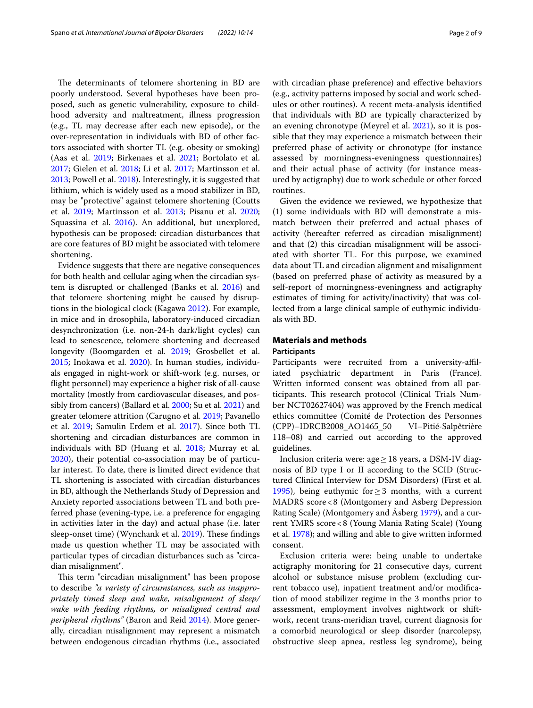The determinants of telomere shortening in BD are poorly understood. Several hypotheses have been proposed, such as genetic vulnerability, exposure to childhood adversity and maltreatment, illness progression (e.g., TL may decrease after each new episode), or the over-representation in individuals with BD of other factors associated with shorter TL (e.g. obesity or smoking) (Aas et al. [2019;](#page-6-2) Birkenaes et al. [2021;](#page-6-3) Bortolato et al. [2017](#page-6-4); Gielen et al. [2018;](#page-7-4) Li et al. [2017;](#page-7-5) Martinsson et al. [2013](#page-7-6); Powell et al. [2018\)](#page-7-7). Interestingly, it is suggested that lithium, which is widely used as a mood stabilizer in BD, may be "protective" against telomere shortening (Coutts et al. [2019;](#page-7-8) Martinsson et al. [2013](#page-7-6); Pisanu et al. [2020](#page-7-9); Squassina et al. [2016](#page-7-10)). An additional, but unexplored, hypothesis can be proposed: circadian disturbances that are core features of BD might be associated with telomere shortening.

Evidence suggests that there are negative consequences for both health and cellular aging when the circadian system is disrupted or challenged (Banks et al. [2016](#page-6-5)) and that telomere shortening might be caused by disruptions in the biological clock (Kagawa [2012\)](#page-7-11). For example, in mice and in drosophila, laboratory-induced circadian desynchronization (i.e. non-24-h dark/light cycles) can lead to senescence, telomere shortening and decreased longevity (Boomgarden et al. [2019;](#page-6-6) Grosbellet et al. [2015](#page-7-12); Inokawa et al. [2020\)](#page-7-13). In human studies, individuals engaged in night-work or shift-work (e.g. nurses, or fight personnel) may experience a higher risk of all-cause mortality (mostly from cardiovascular diseases, and possibly from cancers) (Ballard et al. [2000;](#page-6-7) Su et al. [2021\)](#page-7-14) and greater telomere attrition (Carugno et al. [2019;](#page-6-8) Pavanello et al. [2019](#page-7-15); Samulin Erdem et al. [2017](#page-7-16)). Since both TL shortening and circadian disturbances are common in individuals with BD (Huang et al. [2018](#page-7-3); Murray et al. [2020](#page-7-17)), their potential co-association may be of particular interest. To date, there is limited direct evidence that TL shortening is associated with circadian disturbances in BD, although the Netherlands Study of Depression and Anxiety reported associations between TL and both preferred phase (evening-type, i.e. a preference for engaging in activities later in the day) and actual phase (i.e. later sleep-onset time) (Wynchank et al. [2019](#page-8-0)). These findings made us question whether TL may be associated with particular types of circadian disturbances such as "circadian misalignment".

This term "circadian misalignment" has been propose to describe *"a variety of circumstances, such as inappropriately timed sleep and wake, misalignment of sleep/ wake with feeding rhythms, or misaligned central and peripheral rhythms"* (Baron and Reid [2014\)](#page-6-9). More generally, circadian misalignment may represent a mismatch between endogenous circadian rhythms (i.e., associated with circadian phase preference) and efective behaviors (e.g., activity patterns imposed by social and work schedules or other routines). A recent meta-analysis identifed that individuals with BD are typically characterized by an evening chronotype (Meyrel et al. [2021](#page-7-18)), so it is possible that they may experience a mismatch between their preferred phase of activity or chronotype (for instance assessed by morningness-eveningness questionnaires) and their actual phase of activity (for instance measured by actigraphy) due to work schedule or other forced routines.

Given the evidence we reviewed, we hypothesize that (1) some individuals with BD will demonstrate a mismatch between their preferred and actual phases of activity (hereafter referred as circadian misalignment) and that (2) this circadian misalignment will be associated with shorter TL. For this purpose, we examined data about TL and circadian alignment and misalignment (based on preferred phase of activity as measured by a self-report of morningness-eveningness and actigraphy estimates of timing for activity/inactivity) that was collected from a large clinical sample of euthymic individuals with BD.

## **Materials and methods**

## **Participants**

Participants were recruited from a university-affiliated psychiatric department in Paris (France). Written informed consent was obtained from all participants. This research protocol (Clinical Trials Number NCT02627404) was approved by the French medical ethics committee (Comité de Protection des Personnes (CPP)–IDRCB2008\_AO1465\_50 VI–Pitié-Salpêtrière 118–08) and carried out according to the approved guidelines.

Inclusion criteria were: age ≥ 18 years, a DSM-IV diagnosis of BD type I or II according to the SCID (Structured Clinical Interview for DSM Disorders) (First et al. [1995](#page-7-19)), being euthymic for≥3 months, with a current MADRS score<8 (Montgomery and Asberg Depression Rating Scale) (Montgomery and Åsberg [1979](#page-7-20)), and a current YMRS score<8 (Young Mania Rating Scale) (Young et al. [1978](#page-8-1)); and willing and able to give written informed consent.

Exclusion criteria were: being unable to undertake actigraphy monitoring for 21 consecutive days, current alcohol or substance misuse problem (excluding current tobacco use), inpatient treatment and/or modifcation of mood stabilizer regime in the 3 months prior to assessment, employment involves nightwork or shiftwork, recent trans-meridian travel, current diagnosis for a comorbid neurological or sleep disorder (narcolepsy, obstructive sleep apnea, restless leg syndrome), being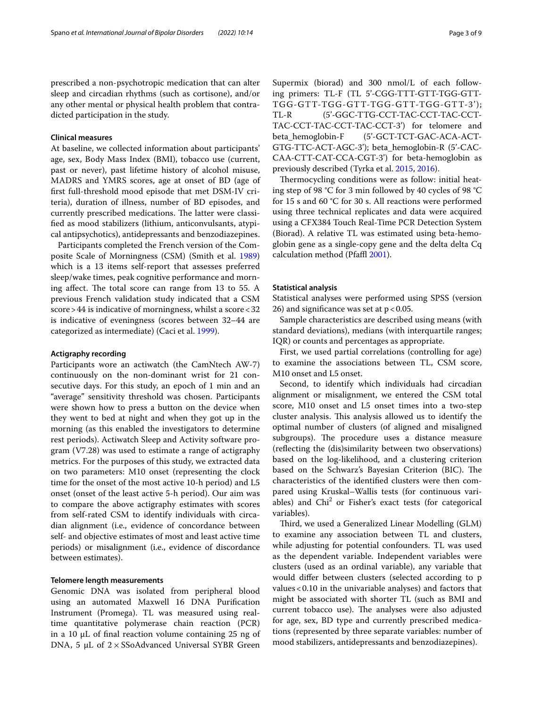prescribed a non-psychotropic medication that can alter sleep and circadian rhythms (such as cortisone), and/or any other mental or physical health problem that contradicted participation in the study.

## **Clinical measures**

At baseline, we collected information about participants' age, sex, Body Mass Index (BMI), tobacco use (current, past or never), past lifetime history of alcohol misuse, MADRS and YMRS scores, age at onset of BD (age of frst full-threshold mood episode that met DSM-IV criteria), duration of illness, number of BD episodes, and currently prescribed medications. The latter were classifed as mood stabilizers (lithium, anticonvulsants, atypical antipsychotics), antidepressants and benzodiazepines.

Participants completed the French version of the Composite Scale of Morningness (CSM) (Smith et al. [1989](#page-7-21)) which is a 13 items self-report that assesses preferred sleep/wake times, peak cognitive performance and morning affect. The total score can range from  $13$  to  $55$ . A previous French validation study indicated that a CSM score>44 is indicative of morningness, whilst a score<32 is indicative of eveningness (scores between 32–44 are categorized as intermediate) (Caci et al. [1999\)](#page-6-10).

## **Actigraphy recording**

Participants wore an actiwatch (the CamNtech AW-7) continuously on the non-dominant wrist for 21 consecutive days. For this study, an epoch of 1 min and an "average" sensitivity threshold was chosen. Participants were shown how to press a button on the device when they went to bed at night and when they got up in the morning (as this enabled the investigators to determine rest periods). Actiwatch Sleep and Activity software program (V7.28) was used to estimate a range of actigraphy metrics. For the purposes of this study, we extracted data on two parameters: M10 onset (representing the clock time for the onset of the most active 10-h period) and L5 onset (onset of the least active 5-h period). Our aim was to compare the above actigraphy estimates with scores from self-rated CSM to identify individuals with circadian alignment (i.e., evidence of concordance between self- and objective estimates of most and least active time periods) or misalignment (i.e., evidence of discordance between estimates).

## **Telomere length measurements**

Genomic DNA was isolated from peripheral blood using an automated Maxwell 16 DNA Purifcation Instrument (Promega). TL was measured using realtime quantitative polymerase chain reaction (PCR) in a 10 μL of final reaction volume containing  $25$  ng of DNA, 5  $\mu$ L of 2 × SSoAdvanced Universal SYBR Green Supermix (biorad) and 300 nmol/L of each following primers: TL-F (TL 5'-CGG-TTT-GTT-TGG-GTT-TGG-GTT-TGG-GTT-TGG-GTT-TGG-GTT-3'); TL-R (5'-GGC-TTG-CCT-TAC-CCT-TAC-CCT-TAC-CCT-TAC-CCT-TAC-CCT-3') for telomere and beta\_hemoglobin-F (5'-GCT-TCT-GAC-ACA-ACT-GTG-TTC-ACT-AGC-3'); beta\_hemoglobin-R (5'-CAC-CAA-CTT-CAT-CCA-CGT-3') for beta-hemoglobin as previously described (Tyrka et al. [2015,](#page-8-2) [2016\)](#page-8-3).

Thermocycling conditions were as follow: initial heating step of 98 °C for 3 min followed by 40 cycles of 98 °C for 15 s and 60 °C for 30 s. All reactions were performed using three technical replicates and data were acquired using a CFX384 Touch Real-Time PCR Detection System (Biorad). A relative TL was estimated using beta-hemoglobin gene as a single-copy gene and the delta delta Cq calculation method (Pfaffl [2001](#page-7-22)).

## **Statistical analysis**

Statistical analyses were performed using SPSS (version 26) and significance was set at  $p < 0.05$ .

Sample characteristics are described using means (with standard deviations), medians (with interquartile ranges; IQR) or counts and percentages as appropriate.

First, we used partial correlations (controlling for age) to examine the associations between TL, CSM score, M10 onset and L5 onset.

Second, to identify which individuals had circadian alignment or misalignment, we entered the CSM total score, M10 onset and L5 onset times into a two-step cluster analysis. This analysis allowed us to identify the optimal number of clusters (of aligned and misaligned subgroups). The procedure uses a distance measure (refecting the (dis)similarity between two observations) based on the log-likelihood, and a clustering criterion based on the Schwarz's Bayesian Criterion (BIC). The characteristics of the identifed clusters were then compared using Kruskal–Wallis tests (for continuous variables) and  $Chi<sup>2</sup>$  or Fisher's exact tests (for categorical variables).

Third, we used a Generalized Linear Modelling (GLM) to examine any association between TL and clusters, while adjusting for potential confounders. TL was used as the dependent variable. Independent variables were clusters (used as an ordinal variable), any variable that would difer between clusters (selected according to p values<0.10 in the univariable analyses) and factors that might be associated with shorter TL (such as BMI and current tobacco use). The analyses were also adjusted for age, sex, BD type and currently prescribed medications (represented by three separate variables: number of mood stabilizers, antidepressants and benzodiazepines).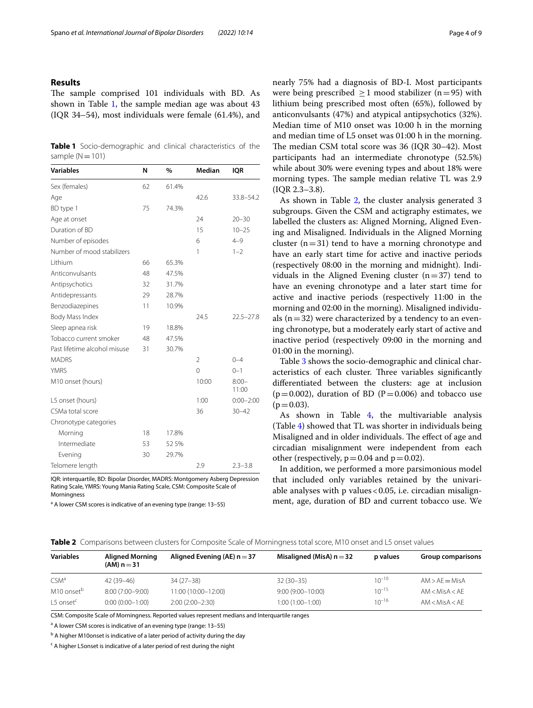## **Results**

The sample comprised 101 individuals with BD. As shown in Table [1](#page-3-0), the sample median age was about 43 (IQR 34–54), most individuals were female (61.4%), and

<span id="page-3-0"></span>**Table 1** Socio-demographic and clinical characteristics of the sample  $(N=101)$ 

| <b>Variables</b>             | N  | %     | <b>Median</b>  | <b>IQR</b>        |
|------------------------------|----|-------|----------------|-------------------|
| Sex (females)                | 62 | 61.4% |                |                   |
| Age                          |    |       | 42.6           | 33.8-54.2         |
| BD type 1                    | 75 | 74.3% |                |                   |
| Age at onset                 |    |       | 24             | $20 - 30$         |
| Duration of BD               |    |       | 15             | $10 - 25$         |
| Number of episodes           |    |       | 6              | $4 - 9$           |
| Number of mood stabilizers   |    |       | 1              | $1 - 2$           |
| Lithium                      | 66 | 65.3% |                |                   |
| Anticonvulsants              | 48 | 47.5% |                |                   |
| Antipsychotics               | 32 | 31.7% |                |                   |
| Antidepressants              | 29 | 28.7% |                |                   |
| Benzodiazepines              | 11 | 10.9% |                |                   |
| Body Mass Index              |    |       | 24.5           | $22.5 - 27.8$     |
| Sleep apnea risk             | 19 | 18.8% |                |                   |
| Tobacco current smoker       | 48 | 47.5% |                |                   |
| Past lifetime alcohol misuse | 31 | 30.7% |                |                   |
| <b>MADRS</b>                 |    |       | $\overline{2}$ | $0 - 4$           |
| <b>YMRS</b>                  |    |       | $\mathbf 0$    | $0 - 1$           |
| M10 onset (hours)            |    |       | 10:00          | $8:00 -$<br>11:00 |
| L5 onset (hours)             |    |       | 1:00           | $0:00 - 2:00$     |
| CSMa total score             |    |       | 36             | $30 - 42$         |
| Chronotype categories        |    |       |                |                   |
| Morning                      | 18 | 17.8% |                |                   |
| Intermediate                 | 53 | 52 5% |                |                   |
| Evening                      | 30 | 29.7% |                |                   |
| Telomere lenath              |    |       | 2.9            | $2.3 - 3.8$       |

IQR: interquartile, BD: Bipolar Disorder, MADRS: Montgomery Asberg Depression Rating Scale, YMRS: Young Mania Rating Scale, CSM: Composite Scale of Morningness

<sup>a</sup> A lower CSM scores is indicative of an evening type (range: 13-55)

nearly 75% had a diagnosis of BD-I. Most participants were being prescribed  $\geq 1$  mood stabilizer (n=95) with lithium being prescribed most often (65%), followed by anticonvulsants (47%) and atypical antipsychotics (32%). Median time of M10 onset was 10:00 h in the morning and median time of L5 onset was 01:00 h in the morning. The median CSM total score was 36 (IQR 30-42). Most participants had an intermediate chronotype (52.5%) while about 30% were evening types and about 18% were morning types. The sample median relative TL was 2.9 (IQR 2.3–3.8).

As shown in Table [2](#page-3-1), the cluster analysis generated 3 subgroups. Given the CSM and actigraphy estimates, we labelled the clusters as: Aligned Morning, Aligned Evening and Misaligned. Individuals in the Aligned Morning cluster  $(n=31)$  tend to have a morning chronotype and have an early start time for active and inactive periods (respectively 08:00 in the morning and midnight). Individuals in the Aligned Evening cluster  $(n=37)$  tend to have an evening chronotype and a later start time for active and inactive periods (respectively 11:00 in the morning and 02:00 in the morning). Misaligned individuals  $(n=32)$  were characterized by a tendency to an evening chronotype, but a moderately early start of active and inactive period (respectively 09:00 in the morning and 01:00 in the morning).

Table [3](#page-4-0) shows the socio-demographic and clinical characteristics of each cluster. Three variables significantly diferentiated between the clusters: age at inclusion  $(p=0.002)$ , duration of BD (P=0.006) and tobacco use  $(p=0.03)$ .

As shown in Table [4](#page-4-1), the multivariable analysis (Table [4](#page-4-1)) showed that TL was shorter in individuals being Misaligned and in older individuals. The effect of age and circadian misalignment were independent from each other (respectively,  $p = 0.04$  and  $p = 0.02$ ).

In addition, we performed a more parsimonious model that included only variables retained by the univariable analyses with p values<0.05, i.e. circadian misalignment, age, duration of BD and current tobacco use. We

<span id="page-3-1"></span>

|  |  |  |  | Table 2 Comparisons between clusters for Composite Scale of Morningness total score. M10 onset and L5 onset values |  |  |
|--|--|--|--|--------------------------------------------------------------------------------------------------------------------|--|--|
|--|--|--|--|--------------------------------------------------------------------------------------------------------------------|--|--|

| <b>Variables</b>        | <b>Aligned Morning</b><br>$(AM) n = 31$ | Aligned Evening (AE) $n = 37$ | Misaligned (MisA) $n = 32$ | p values   | Group comparisons |
|-------------------------|-----------------------------------------|-------------------------------|----------------------------|------------|-------------------|
| CSM <sup>a</sup>        | $42(39 - 46)$                           | $34(27-38)$                   | $32(30-35)$                | $10^{-10}$ | $AM > AF = MisA$  |
| M10 onset <sup>b</sup>  | $8:00(7:00-9:00)$                       | 11:00 (10:00-12:00)           | $9:00(9:00 - 10:00)$       | $10^{-15}$ | AM < MisA < AF    |
| $L5$ onset <sup>c</sup> | $0:00(0:00-1:00)$                       | $2:00(2:00-2:30)$             | 1:00 (1:00-1:00)           | $10^{-16}$ | AM < MisA < AF    |

CSM: Composite Scale of Morningness. Reported values represent medians and Interquartile ranges

<sup>a</sup> A lower CSM scores is indicative of an evening type (range: 13-55)

<sup>b</sup> A higher M10onset is indicative of a later period of activity during the day

<sup>c</sup> A higher L5onset is indicative of a later period of rest during the night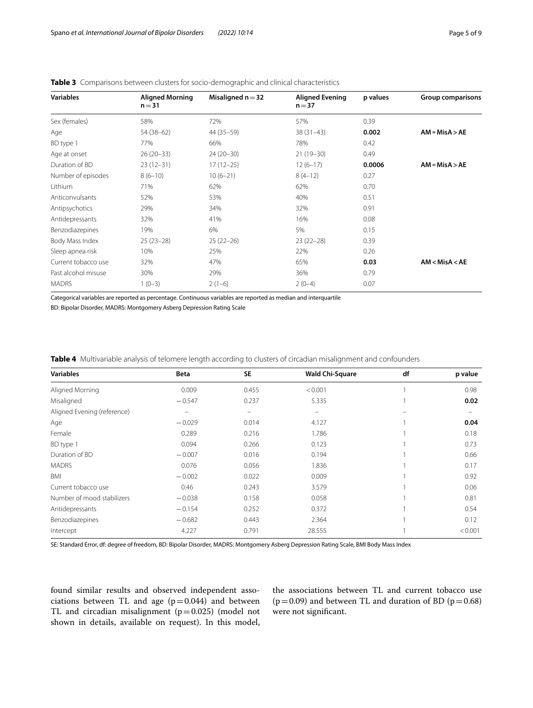| <b>Variables</b>    | <b>Aligned Morning</b><br>$n = 31$ | Misaligned $n = 32$ | <b>Aligned Evening</b><br>$n = 37$ | p values | <b>Group comparisons</b> |
|---------------------|------------------------------------|---------------------|------------------------------------|----------|--------------------------|
| Sex (females)       | 58%                                | 72%                 | 57%                                | 0.39     |                          |
| Age                 | 54 (38-62)                         | 44 (35 - 59)        | $38(31-43)$                        | 0.002    | $AM = MisA > AE$         |
| BD type 1           | 77%                                | 66%                 | 78%                                | 0.42     |                          |
| Age at onset        | $26(20-33)$                        | $24(20-30)$         | $21(19-30)$                        | 0.49     |                          |
| Duration of BD      | $23(12-31)$                        | $17(12-25)$         | $12(6-17)$                         | 0.0006   | $AM = MisA > AE$         |
| Number of episodes  | $8(6-10)$                          | $10(6-21)$          | $8(4-12)$                          | 0.27     |                          |
| Lithium             | 71%                                | 62%                 | 62%                                | 0.70     |                          |
| Anticonvulsants     | 52%                                | 53%                 | 40%                                | 0.51     |                          |
| Antipsychotics      | 29%                                | 34%                 | 32%                                | 0.91     |                          |
| Antidepressants     | 32%                                | 41%                 | 16%                                | 0.08     |                          |
| Benzodiazepines     | 19%                                | 6%                  | 5%                                 | 0.15     |                          |
| Body Mass Index     | $25(23-28)$                        | $25(22-26)$         | $23(22-28)$                        | 0.39     |                          |
| Sleep apnea risk    | 10%                                | 25%                 | 22%                                | 0.26     |                          |
| Current tobacco use | 32%                                | 47%                 | 65%                                | 0.03     | AM < MisA < AE           |
| Past alcohol misuse | 30%                                | 29%                 | 36%                                | 0.79     |                          |
| <b>MADRS</b>        | $1(0-3)$                           | $2(1-6)$            | $2(0-4)$                           | 0.07     |                          |

## <span id="page-4-0"></span>**Table 3** Comparisons between clusters for socio-demographic and clinical characteristics

Categorical variables are reported as percentage. Continuous variables are reported as median and interquartile

BD: Bipolar Disorder, MADRS: Montgomery Asberg Depression Rating Scale

<span id="page-4-1"></span>

|  |  | <b>Table 4</b> Multivariable analysis of telomere length according to clusters of circadian misalignment and confounders |  |
|--|--|--------------------------------------------------------------------------------------------------------------------------|--|
|  |  |                                                                                                                          |  |

| <b>Variables</b>            | Beta     | <b>SE</b> | <b>Wald Chi-Square</b>   | df | p value |
|-----------------------------|----------|-----------|--------------------------|----|---------|
| Aligned Morning             | 0.009    | 0.455     | < 0.001                  |    | 0.98    |
| Misaligned                  | $-0.547$ | 0.237     | 5.335                    |    | 0.02    |
| Aligned Evening (reference) |          | -         | $\overline{\phantom{0}}$ |    |         |
| Age                         | $-0.029$ | 0.014     | 4.127                    |    | 0.04    |
| Female                      | 0.289    | 0.216     | 1.786                    |    | 0.18    |
| BD type 1                   | 0.094    | 0.266     | 0.123                    |    | 0.73    |
| Duration of BD              | $-0.007$ | 0.016     | 0.194                    |    | 0.66    |
| <b>MADRS</b>                | 0.076    | 0.056     | 1.836                    |    | 0.17    |
| <b>BMI</b>                  | $-0.002$ | 0.022     | 0.009                    |    | 0.92    |
| Current tobacco use         | 0.46     | 0.243     | 3.579                    |    | 0.06    |
| Number of mood stabilizers  | $-0.038$ | 0.158     | 0.058                    |    | 0.81    |
| Antidepressants             | $-0.154$ | 0.252     | 0.372                    |    | 0.54    |
| Benzodiazepines             | $-0.682$ | 0.443     | 2.364                    |    | 0.12    |
| Intercept                   | 4.227    | 0.791     | 28.555                   |    | < 0.001 |

SE: Standard Error, df: degree of freedom, BD: Bipolar Disorder, MADRS: Montgomery Asberg Depression Rating Scale, BMI Body Mass Index

found similar results and observed independent associations between TL and age  $(p=0.044)$  and between TL and circadian misalignment  $(p=0.025)$  (model not shown in details, available on request). In this model,

the associations between TL and current tobacco use ( $p=0.09$ ) and between TL and duration of BD ( $p=0.68$ ) were not signifcant.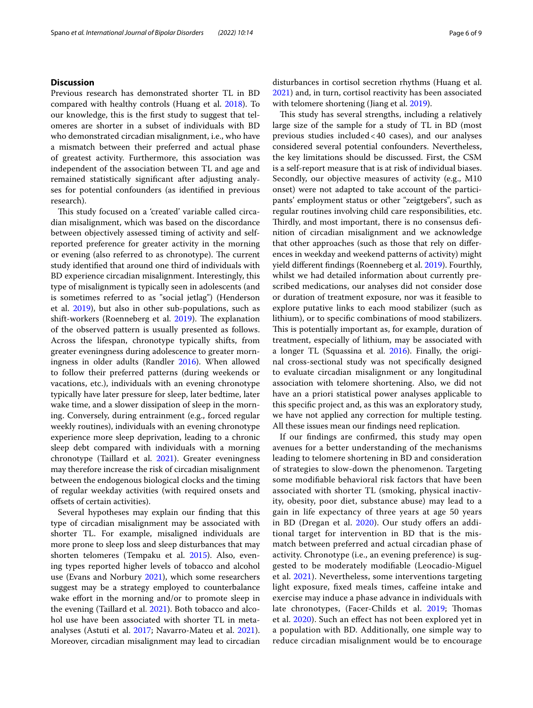## **Discussion**

Previous research has demonstrated shorter TL in BD compared with healthy controls (Huang et al. [2018\)](#page-7-3). To our knowledge, this is the frst study to suggest that telomeres are shorter in a subset of individuals with BD who demonstrated circadian misalignment, i.e., who have a mismatch between their preferred and actual phase of greatest activity. Furthermore, this association was independent of the association between TL and age and remained statistically signifcant after adjusting analyses for potential confounders (as identifed in previous research).

This study focused on a 'created' variable called circadian misalignment, which was based on the discordance between objectively assessed timing of activity and selfreported preference for greater activity in the morning or evening (also referred to as chronotype). The current study identifed that around one third of individuals with BD experience circadian misalignment. Interestingly, this type of misalignment is typically seen in adolescents (and is sometimes referred to as "social jetlag") (Henderson et al. [2019](#page-7-23)), but also in other sub-populations, such as shift-workers (Roenneberg et al. [2019\)](#page-7-24). The explanation of the observed pattern is usually presented as follows. Across the lifespan, chronotype typically shifts, from greater eveningness during adolescence to greater morningness in older adults (Randler [2016](#page-7-25)). When allowed to follow their preferred patterns (during weekends or vacations, etc.), individuals with an evening chronotype typically have later pressure for sleep, later bedtime, later wake time, and a slower dissipation of sleep in the morning. Conversely, during entrainment (e.g., forced regular weekly routines), individuals with an evening chronotype experience more sleep deprivation, leading to a chronic sleep debt compared with individuals with a morning chronotype (Taillard et al. [2021\)](#page-7-26). Greater eveningness may therefore increase the risk of circadian misalignment between the endogenous biological clocks and the timing of regular weekday activities (with required onsets and ofsets of certain activities).

Several hypotheses may explain our fnding that this type of circadian misalignment may be associated with shorter TL. For example, misaligned individuals are more prone to sleep loss and sleep disturbances that may shorten telomeres (Tempaku et al. [2015](#page-7-27)). Also, evening types reported higher levels of tobacco and alcohol use (Evans and Norbury [2021\)](#page-7-28), which some researchers suggest may be a strategy employed to counterbalance wake effort in the morning and/or to promote sleep in the evening (Taillard et al. [2021\)](#page-7-26). Both tobacco and alcohol use have been associated with shorter TL in metaanalyses (Astuti et al. [2017](#page-6-11); Navarro-Mateu et al. [2021](#page-7-29)). Moreover, circadian misalignment may lead to circadian disturbances in cortisol secretion rhythms (Huang et al. [2021](#page-7-30)) and, in turn, cortisol reactivity has been associated with telomere shortening (Jiang et al. [2019\)](#page-7-31).

This study has several strengths, including a relatively large size of the sample for a study of TL in BD (most previous studies included<40 cases), and our analyses considered several potential confounders. Nevertheless, the key limitations should be discussed. First, the CSM is a self-report measure that is at risk of individual biases. Secondly, our objective measures of activity (e.g., M10 onset) were not adapted to take account of the participants' employment status or other "zeigtgebers", such as regular routines involving child care responsibilities, etc. Thirdly, and most important, there is no consensus definition of circadian misalignment and we acknowledge that other approaches (such as those that rely on diferences in weekday and weekend patterns of activity) might yield diferent fndings (Roenneberg et al. [2019](#page-7-24)). Fourthly, whilst we had detailed information about currently prescribed medications, our analyses did not consider dose or duration of treatment exposure, nor was it feasible to explore putative links to each mood stabilizer (such as lithium), or to specifc combinations of mood stabilizers. This is potentially important as, for example, duration of treatment, especially of lithium, may be associated with a longer TL (Squassina et al. [2016\)](#page-7-10). Finally, the original cross-sectional study was not specifcally designed to evaluate circadian misalignment or any longitudinal association with telomere shortening. Also, we did not have an a priori statistical power analyses applicable to this specifc project and, as this was an exploratory study, we have not applied any correction for multiple testing. All these issues mean our fndings need replication.

If our fndings are confrmed, this study may open avenues for a better understanding of the mechanisms leading to telomere shortening in BD and consideration of strategies to slow-down the phenomenon. Targeting some modifable behavioral risk factors that have been associated with shorter TL (smoking, physical inactivity, obesity, poor diet, substance abuse) may lead to a gain in life expectancy of three years at age 50 years in BD (Dregan et al. [2020\)](#page-7-32). Our study offers an additional target for intervention in BD that is the mismatch between preferred and actual circadian phase of activity. Chronotype (i.e., an evening preference) is suggested to be moderately modifable (Leocadio-Miguel et al. [2021](#page-7-33)). Nevertheless, some interventions targeting light exposure, fxed meals times, cafeine intake and exercise may induce a phase advance in individuals with late chronotypes, (Facer-Childs et al. [2019](#page-7-34); Thomas et al. [2020](#page-7-35)). Such an efect has not been explored yet in a population with BD. Additionally, one simple way to reduce circadian misalignment would be to encourage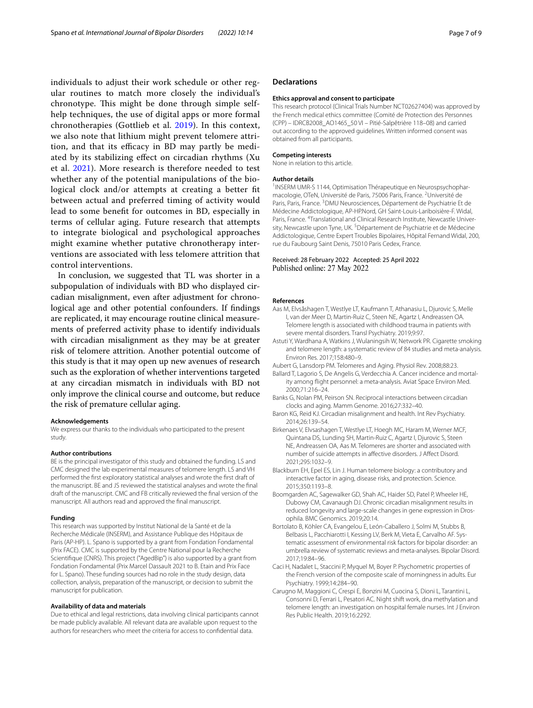individuals to adjust their work schedule or other regular routines to match more closely the individual's chronotype. This might be done through simple selfhelp techniques, the use of digital apps or more formal chronotherapies (Gottlieb et al. [2019\)](#page-7-36). In this context, we also note that lithium might prevent telomere attrition, and that its efficacy in BD may partly be mediated by its stabilizing efect on circadian rhythms (Xu et al. [2021\)](#page-8-4). More research is therefore needed to test whether any of the potential manipulations of the biological clock and/or attempts at creating a better ft between actual and preferred timing of activity would lead to some beneft for outcomes in BD, especially in terms of cellular aging. Future research that attempts to integrate biological and psychological approaches might examine whether putative chronotherapy interventions are associated with less telomere attrition that control interventions.

In conclusion, we suggested that TL was shorter in a subpopulation of individuals with BD who displayed circadian misalignment, even after adjustment for chronological age and other potential confounders. If fndings are replicated, it may encourage routine clinical measurements of preferred activity phase to identify individuals with circadian misalignment as they may be at greater risk of telomere attrition. Another potential outcome of this study is that it may open up new avenues of research such as the exploration of whether interventions targeted at any circadian mismatch in individuals with BD not only improve the clinical course and outcome, but reduce the risk of premature cellular aging.

#### **Acknowledgements**

We express our thanks to the individuals who participated to the present study.

#### **Author contributions**

BE is the principal investigator of this study and obtained the funding. LS and CMC designed the lab experimental measures of telomere length. LS and VH performed the frst exploratory statistical analyses and wrote the frst draft of the manuscript. BE and JS reviewed the statistical analyses and wrote the fnal draft of the manuscript. CMC and FB critically reviewed the fnal version of the manuscript. All authors read and approved the fnal manuscript.

#### **Funding**

This research was supported by Institut National de la Santé et de la Recherche Médicale (INSERM), and Assistance Publique des Hôpitaux de Paris (AP-HP). L. Spano is supported by a grant from Fondation Fondamental (Prix FACE). CMC is supported by the Centre National pour la Recherche Scientifque (CNRS). This project ("AgedBip") is also supported by a grant from Fondation Fondamental (Prix Marcel Dassault 2021 to B. Etain and Prix Face for L. Spano). These funding sources had no role in the study design, data collection, analysis, preparation of the manuscript, or decision to submit the manuscript for publication.

#### **Availability of data and materials**

Due to ethical and legal restrictions, data involving clinical participants cannot be made publicly available. All relevant data are available upon request to the authors for researchers who meet the criteria for access to confdential data.

## **Declarations**

## **Ethics approval and consent to participate**

This research protocol (Clinical Trials Number NCT02627404) was approved by the French medical ethics committee (Comité de Protection des Personnes (CPP) – IDRCB2008\_AO1465\_50 VI – Pitié-Salpêtrière 118–08) and carried out according to the approved guidelines. Written informed consent was obtained from all participants.

#### **Competing interests**

None in relation to this article.

## **Author details**

<sup>1</sup> INSERM UMR-S 1144, Optimisation Thérapeutique en Neurospsychopharmacologie, OTeN, Université de Paris, 75006 Paris, France.<sup>2</sup> Université de Paris, Paris, France.<sup>3</sup> DMU Neurosciences, Département de Psychiatrie Et de Médecine Addictologique, AP-HP.Nord, GH Saint-Louis-Lariboisière-F. Widal, Paris, France. <sup>4</sup>Translational and Clinical Research Institute, Newcastle University, Newcastle upon Tyne, UK.<sup>5</sup> Département de Psychiatrie et de Médecine Addictologique, Centre Expert Troubles Bipolaires, Hôpital Fernand Widal, 200, rue du Faubourg Saint Denis, 75010 Paris Cedex, France.

## Received: 28 February 2022 Accepted: 25 April 2022 Published online: 27 May 2022

#### **References**

- <span id="page-6-2"></span>Aas M, Elvsåshagen T, Westlye LT, Kaufmann T, Athanasiu L, Djurovic S, Melle I, van der Meer D, Martin-Ruiz C, Steen NE, Agartz I, Andreassen OA. Telomere length is associated with childhood trauma in patients with severe mental disorders. Transl Psychiatry. 2019;9:97.
- <span id="page-6-11"></span>Astuti Y, Wardhana A, Watkins J, Wulaningsih W, Network PR. Cigarette smoking and telomere length: a systematic review of 84 studies and meta-analysis. Environ Res. 2017;158:480–9.
- <span id="page-6-0"></span>Aubert G, Lansdorp PM. Telomeres and Aging. Physiol Rev. 2008;88:23.
- <span id="page-6-7"></span>Ballard T, Lagorio S, De Angelis G, Verdecchia A, Cancer incidence and mortality among fight personnel: a meta-analysis. Aviat Space Environ Med. 2000;71:216–24.
- <span id="page-6-5"></span>Banks G, Nolan PM, Peirson SN. Reciprocal interactions between circadian clocks and aging. Mamm Genome. 2016;27:332–40.
- <span id="page-6-9"></span>Baron KG, Reid KJ. Circadian misalignment and health. Int Rev Psychiatry. 2014;26:139–54.
- <span id="page-6-3"></span>Birkenaes V, Elvsashagen T, Westlye LT, Hoegh MC, Haram M, Werner MCF, Quintana DS, Lunding SH, Martin-Ruiz C, Agartz I, Djurovic S, Steen NE, Andreassen OA, Aas M. Telomeres are shorter and associated with number of suicide attempts in afective disorders. J Afect Disord. 2021;295:1032–9.
- <span id="page-6-1"></span>Blackburn EH, Epel ES, Lin J. Human telomere biology: a contributory and interactive factor in aging, disease risks, and protection. Science. 2015;350:1193–8.
- <span id="page-6-6"></span>Boomgarden AC, Sagewalker GD, Shah AC, Haider SD, Patel P, Wheeler HE, Dubowy CM, Cavanaugh DJ. Chronic circadian misalignment results in reduced longevity and large-scale changes in gene expression in Drosophila. BMC Genomics. 2019;20:14.
- <span id="page-6-4"></span>Bortolato B, Köhler CA, Evangelou E, León-Caballero J, Solmi M, Stubbs B, Belbasis L, Pacchiarotti I, Kessing LV, Berk M, Vieta E, Carvalho AF. Systematic assessment of environmental risk factors for bipolar disorder: an umbrella review of systematic reviews and meta-analyses. Bipolar Disord. 2017;19:84–96.
- <span id="page-6-10"></span>Caci H, Nadalet L, Staccini P, Myquel M, Boyer P. Psychometric properties of the French version of the composite scale of morningness in adults. Eur Psychiatry. 1999;14:284–90.
- <span id="page-6-8"></span>Carugno M, Maggioni C, Crespi E, Bonzini M, Cuocina S, Dioni L, Tarantini L, Consonni D, Ferrari L, Pesatori AC. Night shift work, dna methylation and telomere length: an investigation on hospital female nurses. Int J Environ Res Public Health. 2019;16:2292.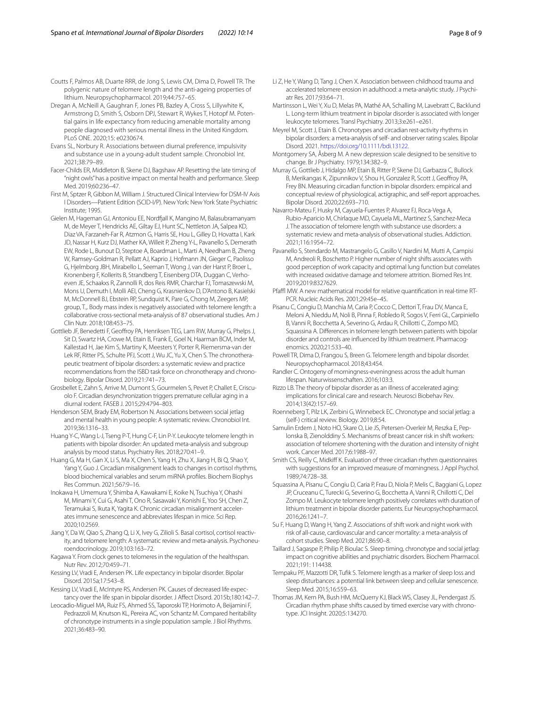<span id="page-7-8"></span>Coutts F, Palmos AB, Duarte RRR, de Jong S, Lewis CM, Dima D, Powell TR. The polygenic nature of telomere length and the anti-ageing properties of lithium. Neuropsychopharmacol. 2019;44:757–65.

- <span id="page-7-32"></span>Dregan A, McNeill A, Gaughran F, Jones PB, Bazley A, Cross S, Lillywhite K, Armstrong D, Smith S, Osborn DPJ, Stewart R, Wykes T, Hotopf M. Potential gains in life expectancy from reducing amenable mortality among people diagnosed with serious mental illness in the United Kingdom. PLoS ONE. 2020;15: e0230674.
- <span id="page-7-28"></span>Evans SL, Norbury R. Associations between diurnal preference, impulsivity and substance use in a young-adult student sample. Chronobiol Int. 2021;38:79–89.
- <span id="page-7-34"></span>Facer-Childs ER, Middleton B, Skene DJ, Bagshaw AP. Resetting the late timing of "night owls" has a positive impact on mental health and performance. Sleep Med. 2019;60:236–47.
- <span id="page-7-19"></span>First M, Sptzer R, Gibbon M, William J. Structured Clinical Interview for DSM-IV Axis I Disorders—Patient Edition (SCID-I/P). New York: New York State Psychiatric Institute; 1995.
- <span id="page-7-4"></span>Gielen M, Hageman GJ, Antoniou EE, Nordfall K, Mangino M, Balasubramanyam M, de Meyer T, Hendricks AE, Giltay EJ, Hunt SC, Nettleton JA, Salpea KD, Diaz VA, Farzaneh-Far R, Atzmon G, Harris SE, Hou L, Gilley D, Hovatta I, Kark JD, Nassar H, Kurz DJ, Mather KA, Willeit P, Zheng Y-L, Pavanello S, Demerath EW, Rode L, Bunout D, Steptoe A, Boardman L, Marti A, Needham B, Zheng W, Ramsey-Goldman R, Pellatt AJ, Kaprio J, Hofmann JN, Gieger C, Paolisso G, Hjelmborg JBH, Mirabello L, Seeman T, Wong J, van der Harst P, Broer L, Kronenberg F, Kollerits B, Strandberg T, Eisenberg DTA, Duggan C, Verhoeven JE, Schaakxs R, Zannolli R, dos Reis RMR, Charchar FJ, Tomaszewski M, Mons U, Demuth I, Molli AEI, Cheng G, Krasnienkov D, D'Antono B, Kasielski M, McDonnell BJ, Ebstein RP, Sundquist K, Pare G, Chong M, Zeegers MP, group, T.,. Body mass index is negatively associated with telomere length: a collaborative cross-sectional meta-analysis of 87 observational studies. Am J Clin Nutr. 2018;108:453–75.
- <span id="page-7-36"></span>Gottlieb JF, Benedetti F, Geofroy PA, Henriksen TEG, Lam RW, Murray G, Phelps J, Sit D, Swartz HA, Crowe M, Etain B, Frank E, Goel N, Haarman BCM, Inder M, Kallestad H, Jae Kim S, Martiny K, Meesters Y, Porter R, Riemersma-van der Lek RF, Ritter PS, Schulte PFJ, Scott J, Wu JC, Yu X, Chen S. The chronotherapeutic treatment of bipolar disorders: a systematic review and practice recommendations from the ISBD task force on chronotherapy and chronobiology. Bipolar Disord. 2019;21:741–73.
- <span id="page-7-12"></span>Grosbellet E, Zahn S, Arrive M, Dumont S, Gourmelen S, Pevet P, Challet E, Criscuolo F. Circadian desynchronization triggers premature cellular aging in a diurnal rodent. FASEB J. 2015;29:4794–803.
- <span id="page-7-23"></span>Henderson SEM, Brady EM, Robertson N. Associations between social jetlag and mental health in young people: A systematic review. Chronobiol Int. 2019;36:1316–33.
- <span id="page-7-3"></span>Huang Y-C, Wang L-J, Tseng P-T, Hung C-F, Lin P-Y. Leukocyte telomere length in patients with bipolar disorder: An updated meta-analysis and subgroup analysis by mood status. Psychiatry Res. 2018;270:41–9.
- <span id="page-7-30"></span>Huang G, Ma H, Gan X, Li S, Ma X, Chen S, Yang H, Zhu X, Jiang H, Bi Q, Shao Y, Yang Y, Guo J. Circadian misalignment leads to changes in cortisol rhythms, blood biochemical variables and serum miRNA profles. Biochem Biophys Res Commun. 2021;567:9–16.
- <span id="page-7-13"></span>Inokawa H, Umemura Y, Shimba A, Kawakami E, Koike N, Tsuchiya Y, Ohashi M, Minami Y, Cui G, Asahi T, Ono R, Sasawaki Y, Konishi E, Yoo SH, Chen Z, Teramukai S, Ikuta K, Yagita K. Chronic circadian misalignment acceler‑ ates immune senescence and abbreviates lifespan in mice. Sci Rep. 2020;10:2569.
- <span id="page-7-31"></span>Jiang Y, Da W, Qiao S, Zhang Q, Li X, Ivey G, Zilioli S. Basal cortisol, cortisol reactivity, and telomere length: A systematic review and meta-analysis. Psychoneuroendocrinology. 2019;103:163–72.
- <span id="page-7-11"></span>Kagawa Y. From clock genes to telomeres in the regulation of the healthspan. Nutr Rev. 2012;70:459–71.
- <span id="page-7-0"></span>Kessing LV, Vradi E, Andersen PK. Life expectancy in bipolar disorder. Bipolar Disord. 2015a;17:543–8.
- <span id="page-7-1"></span>Kessing LV, Vradi E, McIntyre RS, Andersen PK. Causes of decreased life expectancy over the life span in bipolar disorder. J Afect Disord. 2015b;180:142–7.
- <span id="page-7-33"></span>Leocadio-Miguel MA, Ruiz FS, Ahmed SS, Taporoski TP, Horimoto A, Beijamini F, Pedrazzoli M, Knutson KL, Pereira AC, von Schantz M. Compared heritability of chronotype instruments in a single population sample. J Biol Rhythms. 2021;36:483–90.
- <span id="page-7-5"></span>Li Z, He Y, Wang D, Tang J, Chen X. Association between childhood trauma and accelerated telomere erosion in adulthood: a meta-analytic study. J Psychiatr Res. 2017;93:64–71.
- <span id="page-7-6"></span>Martinsson L, Wei Y, Xu D, Melas PA, Mathé AA, Schalling M, Lavebratt C, Backlund L. Long-term lithium treatment in bipolar disorder is associated with longer leukocyte telomeres. Transl Psychiatry. 2013;3:e261–e261.
- <span id="page-7-18"></span>Meyrel M, Scott J, Etain B. Chronotypes and circadian rest-activity rhythms in bipolar disorders: a meta-analysis of self- and observer rating scales. Bipolar Disord. 2021. [https://doi.org/10.1111/bdi.13122.](https://doi.org/10.1111/bdi.13122)
- <span id="page-7-20"></span>Montgomery SA, Åsberg M. A new depression scale designed to be sensitive to change. Br J Psychiatry. 1979;134:382–9.
- <span id="page-7-17"></span>Murray G, Gottlieb J, Hidalgo MP, Etain B, Ritter P, Skene DJ, Garbazza C, Bullock B, Merikangas K, Zipunnikov V, Shou H, Gonzalez R, Scott J, Geofroy PA, Frey BN. Measuring circadian function in bipolar disorders: empirical and conceptual review of physiological, actigraphic, and self-report approaches. Bipolar Disord. 2020;22:693–710.
- <span id="page-7-29"></span>Navarro-Mateu F, Husky M, Cayuela-Fuentes P, Alvarez FJ, Roca-Vega A, Rubio-Aparicio M, Chirlaque MD, Cayuela ML, Martinez S, Sanchez-Meca J. The association of telomere length with substance use disorders: a systematic review and meta-analysis of observational studies. Addiction. 2021;116:1954–72.
- <span id="page-7-15"></span>Pavanello S, Stendardo M, Mastrangelo G, Casillo V, Nardini M, Mutti A, Campisi M, Andreoli R, Boschetto P. Higher number of night shifts associates with good perception of work capacity and optimal lung function but correlates with increased oxidative damage and telomere attrition. Biomed Res Int. 2019;2019:8327629.
- <span id="page-7-22"></span>Pfaffl MW. A new mathematical model for relative quantification in real-time RT-PCR. Nucleic Acids Res. 2001;29:45e–45.
- <span id="page-7-9"></span>Pisanu C, Congiu D, Manchia M, Caria P, Cocco C, Dettori T, Frau DV, Manca E, Meloni A, Nieddu M, Noli B, Pinna F, Robledo R, Sogos V, Ferri GL, Carpiniello B, Vanni R, Bocchetta A, Severino G, Ardau R, Chillotti C, Zompo MD, Squassina A. Diferences in telomere length between patients with bipolar disorder and controls are influenced by lithium treatment. Pharmacogenomics. 2020;21:533–40.
- <span id="page-7-7"></span>Powell TR, Dima D, Frangou S, Breen G. Telomere length and bipolar disorder. Neuropsychopharmacol. 2018;43:454.
- <span id="page-7-25"></span>Randler C. Ontogeny of morningness-eveningness across the adult human lifespan. Naturwissenschaften. 2016;103:3.
- <span id="page-7-2"></span>Rizzo LB. The theory of bipolar disorder as an illness of accelerated aging: implications for clinical care and research. Neurosci Biobehav Rev. 2014;13(42):157–69.
- <span id="page-7-24"></span>Roenneberg T, Pilz LK, Zerbini G, Winnebeck EC. Chronotype and social jetlag: a (self-) critical review. Biology. 2019;8:54.
- <span id="page-7-16"></span>Samulin Erdem J, Noto HO, Skare O, Lie JS, Petersen-Overleir M, Reszka E, Peplonska B, Zienolddiny S. Mechanisms of breast cancer risk in shift workers: association of telomere shortening with the duration and intensity of night work. Cancer Med. 2017;6:1988–97.
- <span id="page-7-21"></span>Smith CS, Reilly C, Midkiff K. Evaluation of three circadian rhythm questionnaires with suggestions for an improved measure of morningness. J Appl Psychol. 1989;74:728–38.
- <span id="page-7-10"></span>Squassina A, Pisanu C, Congiu D, Caria P, Frau D, Niola P, Melis C, Baggiani G, Lopez JP, Cruceanu C, Turecki G, Severino G, Bocchetta A, Vanni R, Chillotti C, Del Zompo M. Leukocyte telomere length positively correlates with duration of lithium treatment in bipolar disorder patients. Eur Neuropsychopharmacol. 2016;26:1241–7.
- <span id="page-7-14"></span>Su F, Huang D, Wang H, Yang Z. Associations of shift work and night work with risk of all-cause, cardiovascular and cancer mortality: a meta-analysis of cohort studies. Sleep Med. 2021;86:90–8.
- <span id="page-7-26"></span>Taillard J, Sagaspe P, Philip P, Bioulac S. Sleep timing, chronotype and social jetlag: impact on cognitive abilities and psychiatric disorders. Biochem Pharmacol. 2021;191: 114438.
- <span id="page-7-27"></span>Tempaku PF, Mazzotti DR, Tufk S. Telomere length as a marker of sleep loss and sleep disturbances: a potential link between sleep and cellular senescence. Sleep Med. 2015;16:559–63.
- <span id="page-7-35"></span>Thomas JM, Kern PA, Bush HM, McQuerry KJ, Black WS, Clasey JL, Pendergast JS. Circadian rhythm phase shifts caused by timed exercise vary with chronotype. JCI Insight. 2020;5:134270.